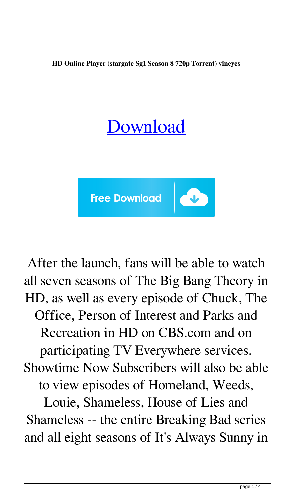**HD Online Player (stargate Sg1 Season 8 720p Torrent) vineyes**

## [Download](http://evacdir.com/ZG93bmxvYWR8TFkzYTI0eGZId3hOalV5TkRZek1EVXdmSHd5TlRjMGZId29UU2tnY21WaFpDMWliRzluSUZ0R1lYTjBJRWRGVGww/coming.intervene/SEQgT25saW5lIFBsYXllciAoc3RhcmdhdGUgc2cxIHNlYXNvbiA4IDcyMHAgdG9ycmVudCkSEQ/kovacevich/underachievers.proposals.mousquetaires)



After the launch, fans will be able to watch all seven seasons of The Big Bang Theory in HD, as well as every episode of Chuck, The Office, Person of Interest and Parks and Recreation in HD on CBS.com and on participating TV Everywhere services. Showtime Now Subscribers will also be able to view episodes of Homeland, Weeds,

Louie, Shameless, House of Lies and Shameless -- the entire Breaking Bad series and all eight seasons of It's Always Sunny in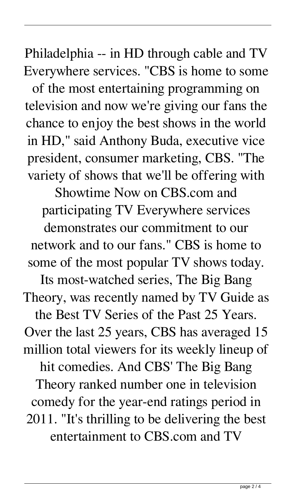Philadelphia -- in HD through cable and TV Everywhere services. "CBS is home to some

of the most entertaining programming on television and now we're giving our fans the chance to enjoy the best shows in the world in HD," said Anthony Buda, executive vice president, consumer marketing, CBS. "The variety of shows that we'll be offering with

Showtime Now on CBS.com and participating TV Everywhere services

demonstrates our commitment to our network and to our fans." CBS is home to some of the most popular TV shows today.

Its most-watched series, The Big Bang Theory, was recently named by TV Guide as the Best TV Series of the Past 25 Years. Over the last 25 years, CBS has averaged 15 million total viewers for its weekly lineup of hit comedies. And CBS' The Big Bang Theory ranked number one in television comedy for the year-end ratings period in 2011. "It's thrilling to be delivering the best entertainment to CBS.com and TV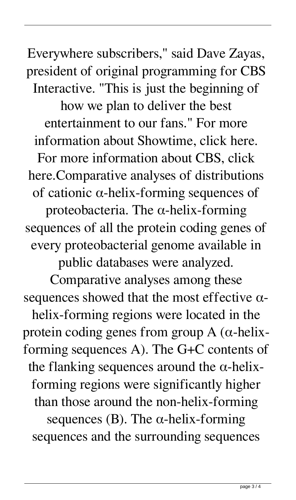Everywhere subscribers," said Dave Zayas, president of original programming for CBS Interactive. "This is just the beginning of

how we plan to deliver the best entertainment to our fans." For more information about Showtime, click here. For more information about CBS, click here.Comparative analyses of distributions of cationic α-helix-forming sequences of proteobacteria. The α-helix-forming sequences of all the protein coding genes of every proteobacterial genome available in

public databases were analyzed.

Comparative analyses among these sequences showed that the most effective  $\alpha$ helix-forming regions were located in the protein coding genes from group A ( $\alpha$ -helixforming sequences A). The G+C contents of the flanking sequences around the  $\alpha$ -helixforming regions were significantly higher than those around the non-helix-forming sequences (B). The  $\alpha$ -helix-forming sequences and the surrounding sequences